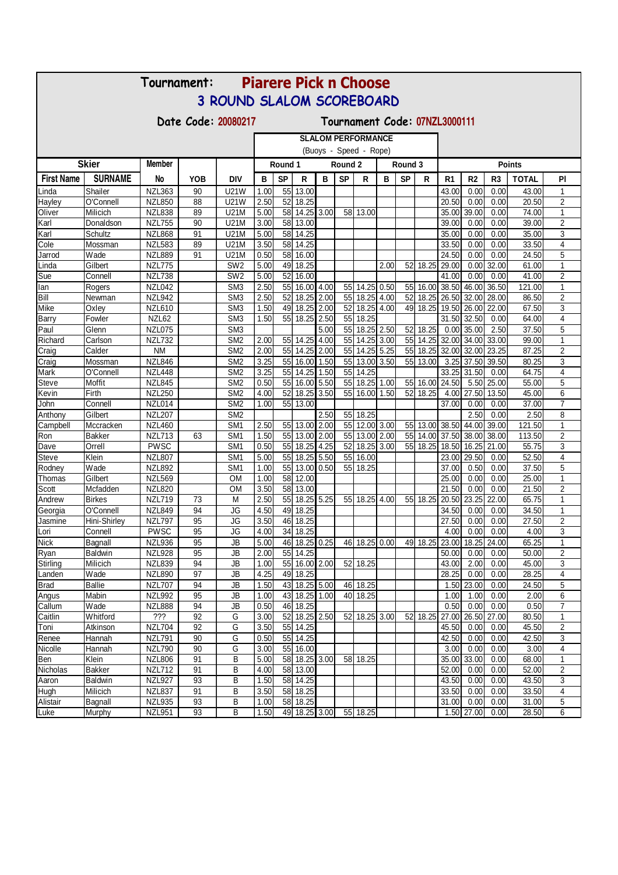| <b>Piarere Pick n Choose</b><br>Tournament: |                                                      |                                |            |                                    |              |                                                     |                      |      |           |                           |      |           |               |                    |                                  |                |                |                                |
|---------------------------------------------|------------------------------------------------------|--------------------------------|------------|------------------------------------|--------------|-----------------------------------------------------|----------------------|------|-----------|---------------------------|------|-----------|---------------|--------------------|----------------------------------|----------------|----------------|--------------------------------|
| <b>3 ROUND SLALOM SCOREBOARD</b>            |                                                      |                                |            |                                    |              |                                                     |                      |      |           |                           |      |           |               |                    |                                  |                |                |                                |
|                                             | Date Code: 20080217<br>Tournament Code: 07NZL3000111 |                                |            |                                    |              |                                                     |                      |      |           |                           |      |           |               |                    |                                  |                |                |                                |
|                                             |                                                      |                                |            |                                    |              |                                                     |                      |      |           |                           |      |           |               |                    |                                  |                |                |                                |
|                                             |                                                      |                                |            |                                    |              | <b>SLALOM PERFORMANCE</b><br>(Buoys - Speed - Rope) |                      |      |           |                           |      |           |               |                    |                                  |                |                |                                |
|                                             | <b>Skier</b>                                         | Member                         |            |                                    |              | Round 1                                             |                      |      |           | Round 2<br>Round 3        |      |           | <b>Points</b> |                    |                                  |                |                |                                |
| <b>First Name</b>                           | <b>SURNAME</b>                                       | No                             | <b>YOB</b> | DIV                                | в            | <b>SP</b>                                           | R                    | в    | <b>SP</b> | R                         | в    | <b>SP</b> | R             | R <sub>1</sub>     | R <sub>2</sub>                   | R <sub>3</sub> | <b>TOTAL</b>   | PI                             |
| Linda                                       | Shailer                                              | <b>NZL363</b>                  | 90         | <b>U21W</b>                        | 1.00         | 55                                                  | 13.00                |      |           |                           |      |           |               | 43.00              | 0.00                             | 0.00           | 43.00          | $\mathbf{1}$                   |
| Hayley                                      | O'Connell                                            | <b>NZL850</b>                  | 88         | <b>U21W</b>                        | 2.50         |                                                     | 52 18.25             |      |           |                           |      |           |               | 20.50              | 0.00                             | 0.00           | 20.50          | 2                              |
| Oliver                                      | Milicich                                             | <b>NZL838</b>                  | 89         | <b>U21M</b>                        | 5.00         |                                                     | 58 14.25 3.00        |      |           | 58 13.00                  |      |           |               | 35.00              | 39.00                            | 0.00           | 74.00          | $\mathbf{1}$                   |
| Karl                                        | Donaldson                                            | <b>NZL755</b>                  | 90         | U21M                               | 3.00         |                                                     | 58 13.00             |      |           |                           |      |           |               | 39.00              | 0.00                             | 0.00           | 39.00          | $\overline{2}$                 |
| Karl                                        | Schultz                                              | <b>NZL868</b>                  | 91         | <b>U21M</b>                        | 5.00         |                                                     | 58 14.25             |      |           |                           |      |           |               | $\overline{3}5.00$ | 0.00                             | 0.00           | 35.00          | 3                              |
| Cole                                        | Mossman                                              | <b>NZL583</b>                  | 89         | U21M                               | 3.50         |                                                     | 58 14.25             |      |           |                           |      |           |               | 33.50              | 0.00                             | 0.00           | 33.50          | 4                              |
| Jarrod                                      | Wade                                                 | <b>NZL889</b>                  | 91         | <b>U21M</b>                        | 0.50         |                                                     | 58 16.00             |      |           |                           |      |           |               | $\overline{2}4.50$ | 0.00                             | 0.00           | 24.50          | 5                              |
| Linda                                       | Gilbert                                              | <b>NZL775</b>                  |            | SW <sub>2</sub>                    | 5.00         | 49                                                  | 18.25                |      |           |                           | 2.00 | 52        | 18.25         | 29.00              | 0.00                             | 32.00          | 61.00          | 1                              |
| Sue                                         | Connell                                              | NZL738                         |            | SW <sub>2</sub>                    | 5.00         | 52                                                  | 16.00                |      |           |                           |      |           |               | 41.00              | 0.00                             | 0.00           | 41.00          | 2                              |
| lan                                         | Rogers                                               | NZL042                         |            | SM <sub>3</sub><br>SM <sub>3</sub> | 2.50<br>2.50 | 52                                                  | 55 16.00 4.00        |      |           | 55 14.25<br>55 18.25 4.00 | 0.50 | 52        |               |                    | 55 16.00 38.50 46.00             | 36.50          | 121.00         | $\mathbf{1}$<br>$\overline{2}$ |
| Bill<br>Mike                                | Newman<br>Oxley                                      | <b>NZL942</b><br><b>NZL610</b> |            | SM <sub>3</sub>                    | 1.50         | 49                                                  | 18.25 2.00<br>18.25  | 2.00 | 52        | 18.25 4.00                |      | 49        | 18.25         |                    | 18.25 26.50 32.00<br>19.50 26.00 | 28.00<br>22.00 | 86.50<br>67.50 | 3                              |
| <b>Barry</b>                                | Fowler                                               | NZL62                          |            | SM <sub>3</sub>                    | 1.50         | 55                                                  | 18.25 2.50           |      | 55        | 18.25                     |      |           |               |                    | 31.50 32.50                      | 0.00           | 64.00          | $\overline{4}$                 |
| Paul                                        | Glenn                                                | NZL075                         |            | SM <sub>3</sub>                    |              |                                                     |                      | 5.00 | 55        | 18.25 2.50                |      | 52        | 18.25         |                    | $0.00$ 35.00                     | 2.50           | 37.50          | 5                              |
| Richard                                     | Carlson                                              | <b>NZL732</b>                  |            | SM <sub>2</sub>                    | 2.00         | 55                                                  | 14.25                | 4.00 | 55        | 14.25                     | 3.00 | 55        | 14.25         |                    | 32.00 34.00                      | 33.00          | 99.00          | 1                              |
| Craig                                       | Calder                                               | <b>NM</b>                      |            | SM <sub>2</sub>                    | 2.00         |                                                     | 55 14.25 2.00        |      |           | 55 14.25 5.25             |      | 55        | 18.25         |                    | 32.00 32.00                      | 23.25          | 87.25          | $\overline{2}$                 |
| Craig                                       | Mossman                                              | <b>NZL846</b>                  |            | SM <sub>2</sub>                    | 3.25         |                                                     | 55 16.00 1.50        |      |           | 55 13.00 3.50             |      | 55        | 13.00         |                    | 3.25 37.50                       | 39.50          | 80.25          | $\overline{3}$                 |
| Mark                                        | O'Connell                                            | <b>NZL448</b>                  |            | SM <sub>2</sub>                    | 3.25         | 55                                                  | 14.25                | 1.50 | 55        | 14.25                     |      |           |               |                    | 33.25 31.50                      | 0.00           | 64.75          | 4                              |
| <b>Steve</b>                                | Moffit                                               | <b>NZL845</b>                  |            | SM <sub>2</sub>                    | 0.50         |                                                     | 55 16.00 5.50        |      | 55        | 18.25 1.00                |      | 55        | 16.00         | 24.50              | 5.50                             | 25.00          | 55.00          | 5                              |
| Kevin                                       | Firth                                                | <b>NZL250</b>                  |            | SM <sub>2</sub>                    | 4.00         | 52                                                  | 18.25                | 3.50 | 55        | 16.00                     | 1.50 | 52        | 18.25         |                    | 4.00 27.50                       | 13.50          | 45.00          | 6                              |
| John                                        | Connell                                              | NZL014                         |            | SM <sub>2</sub>                    | 1.00         |                                                     | 55 13.00             |      |           |                           |      |           |               | 37.00              | 0.00                             | 0.00           | 37.00          | $\overline{7}$                 |
| Anthony                                     | Gilbert                                              | <b>NZL207</b>                  |            | SM <sub>2</sub>                    |              |                                                     |                      | 2.50 |           | 55 18.25                  |      |           |               |                    | 2.50                             | 0.00           | 2.50           | 8                              |
| Campbell                                    | Mccracken                                            | <b>NZL460</b>                  |            | SM <sub>1</sub>                    | 2.50         |                                                     | 55 13.00 2.00        |      |           | 55 12.00 3.00             |      | 55        | 13.00         |                    | 38.50 44.00                      | 39.00          | 121.50         | $\mathbf{1}$                   |
| Ron                                         | <b>Bakker</b>                                        | <b>NZL713</b>                  | 63         | SM <sub>1</sub>                    | 1.50         |                                                     | 55 13.00 2.00        |      |           | 55 13.00 2.00             |      | 55        |               |                    | 14.00 37.50 38.00                | 38.00          | 113.50         | $\overline{c}$                 |
| Dave                                        | Orrell                                               | <b>PWSC</b>                    |            | SM <sub>1</sub>                    | 0.50         | 55                                                  | 18.25 4.25           |      | 52        | 18.25 3.00                |      |           | 55 18.25      |                    | 18.50 16.25                      | 21.00          | 55.75          | 3                              |
| <b>Steve</b>                                | Klein                                                | <b>NZL807</b>                  |            | SM <sub>1</sub>                    | 5.00         |                                                     | 55 18.25 5.50        |      |           | 55 16.00                  |      |           |               | 23.00              | 29.50                            | 0.00           | 52.50          | 4                              |
| Rodney                                      | Wade                                                 | <b>NZL892</b>                  |            | SM <sub>1</sub>                    | 1.00         |                                                     | 55 13.00 0.50        |      |           | 55 18.25                  |      |           |               | 37.00              | 0.50                             | 0.00           | 37.50          | 5                              |
| Thomas                                      | Gilbert                                              | <b>NZL569</b>                  |            | <b>OM</b>                          | 1.00         |                                                     | 58 12.00             |      |           |                           |      |           |               | 25.00              | 0.00                             | 0.00           | 25.00          | $\mathbf{1}$                   |
| Scott                                       | Mcfadden                                             | <b>NZL820</b>                  |            | <b>OM</b>                          | 3.50         | 58                                                  | 13.00                |      |           |                           |      |           |               | 21.50              | 0.00                             | 0.00           | 21.50          | $\overline{c}$                 |
| Andrew                                      | <b>Birkes</b>                                        | <b>NZL719</b>                  | 73         | M                                  | 2.50         |                                                     | 55 18.25 5.25        |      |           | 55 18.25 4.00             |      |           | 55 18.25      |                    | 20.50 23.25                      | 22.00          | 65.75          | 1<br>$\mathbf{1}$              |
| Georgia                                     | O'Connell                                            | <b>NZL849</b><br><b>NZL797</b> | 94<br>95   | JG<br>JG                           | 4.50<br>3.50 |                                                     | 49 18.25             |      |           |                           |      |           |               | 34.50<br>27.50     | 0.00<br>0.00                     | 0.00<br>0.00   | 34.50<br>27.50 | 2                              |
| Jasmine<br>Lori                             | Hini-Shirley<br>Connell                              | <b>PWSC</b>                    | 95         | JG                                 | 4.00         |                                                     | 46 18.25<br>34 18.25 |      |           |                           |      |           |               | 4.00               | 0.00                             | 0.00           | 4.00           | 3                              |
| <b>Nick</b>                                 | Bagnall                                              | <b>NZL936</b>                  | 95         | JB                                 | 5.00         |                                                     | 46 18.25 0.25        |      |           | 46 18.25 0.00             |      |           | 49 18.25      |                    | 23.00 18.25                      | 24.00          | 65.25          | 1                              |
| Ryan                                        | Baldwin                                              | <b>NZL928</b>                  | 95         | JB                                 | 2.00         |                                                     | 55 14.25             |      |           |                           |      |           |               | 50.00              | 0.00                             | 0.00           | 50.00          | $\overline{2}$                 |
| Stirling                                    | Milicich                                             | <b>NZL839</b>                  | 94         | JB                                 | 1.00         |                                                     | 55 16.00 2.00        |      |           | 52 18.25                  |      |           |               | 43.00              | 2.00                             | 0.00           | 45.00          | 3                              |
| Landen                                      | Wade                                                 | <b>NZL890</b>                  | 97         | JB                                 | 4.25         |                                                     | 49 18.25             |      |           |                           |      |           |               | 28.25              | 0.00                             | 0.00           | 28.25          | 4                              |
| <b>Brad</b>                                 | <b>Ballie</b>                                        | <b>NZL707</b>                  | 94         | JB                                 | 1.50         |                                                     | 43 18.25 5.00        |      |           | 46 18.25                  |      |           |               |                    | 1.50 23.00                       | 0.00           | 24.50          | 5                              |
| Angus                                       | Mabin                                                | <b>NZL992</b>                  | 95         | JB                                 | 1.00         | 43                                                  | 18.25 1.00           |      |           | 40 18.25                  |      |           |               | 1.00               | 1.00                             | 0.00           | 2.00           | 6                              |
| Callum                                      | Wade                                                 | <b>NZL888</b>                  | 94         | JB                                 | 0.50         |                                                     | 46 18.25             |      |           |                           |      |           |               | 0.50               | 0.00                             | 0.00           | 0.50           | $\overline{7}$                 |
| Caitlin                                     | Whitford                                             | ???                            | 92         | G                                  | 3.00         |                                                     | 52 18.25 2.50        |      |           | 52 18.25 3.00             |      | 52        | 18.25         | 27.00              | 26.50                            | 27.00          | 80.50          | $\mathbf{1}$                   |
| Toni                                        | Atkinson                                             | <b>NZL704</b>                  | 92         | G                                  | 3.50         | 55                                                  | 14.25                |      |           |                           |      |           |               | 45.50              | 0.00                             | 0.00           | 45.50          | 2                              |
| Renee                                       | Hannah                                               | <b>NZL791</b>                  | 90         | G                                  | 0.50         |                                                     | 55 14.25             |      |           |                           |      |           |               | 42.50              | 0.00                             | 0.00           | 42.50          | 3                              |
| Nicolle                                     | Hannah                                               | <b>NZL790</b>                  | 90         | G                                  | 3.00         | 55                                                  | 16.00                |      |           |                           |      |           |               | 3.00               | 0.00                             | 0.00           | 3.00           | 4                              |
| Ben                                         | Klein                                                | <b>NZL806</b>                  | 91         | В                                  | 5.00         |                                                     | 58 18.25 3.00        |      |           | 58 18.25                  |      |           |               |                    | 35.00 33.00                      | 0.00           | 68.00          | $\mathbf{1}$                   |
| Nicholas                                    | <b>Bakker</b>                                        | <b>NZL712</b>                  | 91         | В                                  | 4.00         | 58                                                  | 13.00                |      |           |                           |      |           |               | 52.00              | 0.00                             | 0.00           | 52.00          | 2                              |
| Aaron                                       | Baldwin                                              | <b>NZL927</b>                  | 93         | B                                  | 1.50         |                                                     | 58 14.25             |      |           |                           |      |           |               | 43.50              | 0.00                             | 0.00           | 43.50          | 3                              |
| Hugh                                        | Milicich                                             | <b>NZL837</b>                  | 91         | В                                  | 3.50         |                                                     | 58 18.25             |      |           |                           |      |           |               | 33.50              | 0.00                             | 0.00           | 33.50          | 4                              |
| Alistair                                    | Bagnall                                              | <b>NZL935</b>                  | 93         | В                                  | 1.00         |                                                     | 58 18.25             |      |           |                           |      |           |               | 31.00              | 0.00                             | 0.00           | 31.00          | 5                              |
| Luke                                        | Murphy                                               | <b>NZL951</b>                  | 93         | B                                  | 1.50         |                                                     | 49 18.25 3.00        |      |           | 55 18.25                  |      |           |               |                    | 1.50 27.00                       | 0.00           | 28.50          | 6                              |